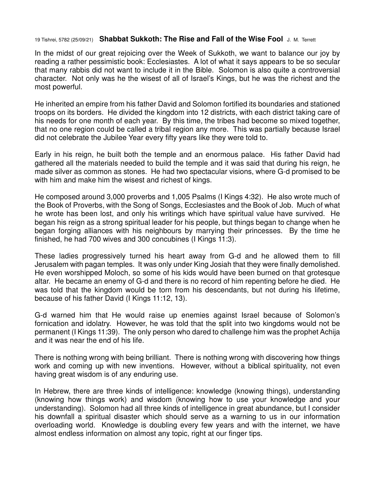## 19 Tishrei, 5782 (25/09/21) **Shabbat Sukkoth: The Rise and Fall of the Wise Fool** J. M. Terrett

In the midst of our great rejoicing over the Week of Sukkoth, we want to balance our joy by reading a rather pessimistic book: Ecclesiastes. A lot of what it says appears to be so secular that many rabbis did not want to include it in the Bible. Solomon is also quite a controversial character. Not only was he the wisest of all of Israel's Kings, but he was the richest and the most powerful.

He inherited an empire from his father David and Solomon fortified its boundaries and stationed troops on its borders. He divided the kingdom into 12 districts, with each district taking care of his needs for one month of each year. By this time, the tribes had become so mixed together, that no one region could be called a tribal region any more. This was partially because Israel did not celebrate the Jubilee Year every fifty years like they were told to.

Early in his reign, he built both the temple and an enormous palace. His father David had gathered all the materials needed to build the temple and it was said that during his reign, he made silver as common as stones. He had two spectacular visions, where G-d promised to be with him and make him the wisest and richest of kings.

He composed around 3,000 proverbs and 1,005 Psalms (I Kings 4:32). He also wrote much of the Book of Proverbs, with the Song of Songs, Ecclesiastes and the Book of Job. Much of what he wrote has been lost, and only his writings which have spiritual value have survived. He began his reign as a strong spiritual leader for his people, but things began to change when he began forging alliances with his neighbours by marrying their princesses. By the time he finished, he had 700 wives and 300 concubines (I Kings 11:3).

These ladies progressively turned his heart away from G-d and he allowed them to fill Jerusalem with pagan temples. It was only under King Josiah that they were finally demolished. He even worshipped Moloch, so some of his kids would have been burned on that grotesque altar. He became an enemy of G-d and there is no record of him repenting before he died. He was told that the kingdom would be torn from his descendants, but not during his lifetime, because of his father David (I Kings 11:12, 13).

G-d warned him that He would raise up enemies against Israel because of Solomon's fornication and idolatry. However, he was told that the split into two kingdoms would not be permanent (I Kings 11:39). The only person who dared to challenge him was the prophet Achija and it was near the end of his life.

There is nothing wrong with being brilliant. There is nothing wrong with discovering how things work and coming up with new inventions. However, without a biblical spirituality, not even having great wisdom is of any enduring use.

In Hebrew, there are three kinds of intelligence: knowledge (knowing things), understanding (knowing how things work) and wisdom (knowing how to use your knowledge and your understanding). Solomon had all three kinds of intelligence in great abundance, but I consider his downfall a spiritual disaster which should serve as a warning to us in our information overloading world. Knowledge is doubling every few years and with the internet, we have almost endless information on almost any topic, right at our finger tips.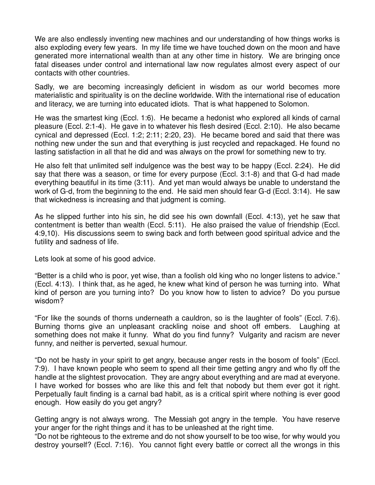We are also endlessly inventing new machines and our understanding of how things works is also exploding every few years. In my life time we have touched down on the moon and have generated more international wealth than at any other time in history. We are bringing once fatal diseases under control and international law now regulates almost every aspect of our contacts with other countries.

Sadly, we are becoming increasingly deficient in wisdom as our world becomes more materialistic and spirituality is on the decline worldwide. With the international rise of education and literacy, we are turning into educated idiots. That is what happened to Solomon.

He was the smartest king (Eccl. 1:6). He became a hedonist who explored all kinds of carnal pleasure (Eccl. 2:1-4). He gave in to whatever his flesh desired (Eccl. 2:10). He also became cynical and depressed (Eccl. 1:2; 2:11; 2:20, 23). He became bored and said that there was nothing new under the sun and that everything is just recycled and repackaged. He found no lasting satisfaction in all that he did and was always on the prowl for something new to try.

He also felt that unlimited self indulgence was the best way to be happy (Eccl. 2:24). He did say that there was a season, or time for every purpose (Eccl. 3:1-8) and that G-d had made everything beautiful in its time (3:11). And yet man would always be unable to understand the work of G-d, from the beginning to the end. He said men should fear G-d (Eccl. 3:14). He saw that wickedness is increasing and that judgment is coming.

As he slipped further into his sin, he did see his own downfall (Eccl. 4:13), yet he saw that contentment is better than wealth (Eccl. 5:11). He also praised the value of friendship (Eccl. 4:9,10). His discussions seem to swing back and forth between good spiritual advice and the futility and sadness of life.

Lets look at some of his good advice.

"Better is a child who is poor, yet wise, than a foolish old king who no longer listens to advice." (Eccl. 4:13). I think that, as he aged, he knew what kind of person he was turning into. What kind of person are you turning into? Do you know how to listen to advice? Do you pursue wisdom?

"For like the sounds of thorns underneath a cauldron, so is the laughter of fools" (Eccl. 7:6). Burning thorns give an unpleasant crackling noise and shoot off embers. Laughing at something does not make it funny. What do you find funny? Vulgarity and racism are never funny, and neither is perverted, sexual humour.

"Do not be hasty in your spirit to get angry, because anger rests in the bosom of fools" (Eccl. 7:9). I have known people who seem to spend all their time getting angry and who fly off the handle at the slightest provocation. They are angry about everything and are mad at everyone. I have worked for bosses who are like this and felt that nobody but them ever got it right. Perpetually fault finding is a carnal bad habit, as is a critical spirit where nothing is ever good enough. How easily do you get angry?

Getting angry is not always wrong. The Messiah got angry in the temple. You have reserve your anger for the right things and it has to be unleashed at the right time.

"Do not be righteous to the extreme and do not show yourself to be too wise, for why would you destroy yourself? (Eccl. 7:16). You cannot fight every battle or correct all the wrongs in this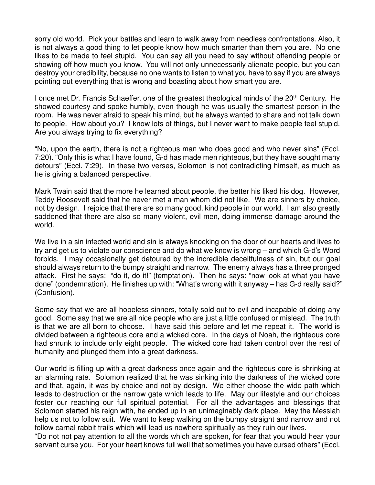sorry old world. Pick your battles and learn to walk away from needless confrontations. Also, it is not always a good thing to let people know how much smarter than them you are. No one likes to be made to feel stupid. You can say all you need to say without offending people or showing off how much you know. You will not only unnecessarily alienate people, but you can destroy your credibility, because no one wants to listen to what you have to say if you are always pointing out everything that is wrong and boasting about how smart you are.

I once met Dr. Francis Schaeffer, one of the greatest theological minds of the 20<sup>th</sup> Century. He showed courtesy and spoke humbly, even though he was usually the smartest person in the room. He was never afraid to speak his mind, but he always wanted to share and not talk down to people. How about you? I know lots of things, but I never want to make people feel stupid. Are you always trying to fix everything?

"No, upon the earth, there is not a righteous man who does good and who never sins" (Eccl. 7:20). "Only this is what I have found, G-d has made men righteous, but they have sought many detours" (Eccl. 7:29). In these two verses, Solomon is not contradicting himself, as much as he is giving a balanced perspective.

Mark Twain said that the more he learned about people, the better his liked his dog. However, Teddy Roosevelt said that he never met a man whom did not like. We are sinners by choice, not by design. I rejoice that there are so many good, kind people in our world. I am also greatly saddened that there are also so many violent, evil men, doing immense damage around the world.

We live in a sin infected world and sin is always knocking on the door of our hearts and lives to try and get us to violate our conscience and do what we know is wrong – and which G-d's Word forbids. I may occasionally get detoured by the incredible deceitfulness of sin, but our goal should always return to the bumpy straight and narrow. The enemy always has a three pronged attack. First he says: "do it, do it!" (temptation). Then he says: "now look at what you have done" (condemnation). He finishes up with: "What's wrong with it anyway – has G-d really said?" (Confusion).

Some say that we are all hopeless sinners, totally sold out to evil and incapable of doing any good. Some say that we are all nice people who are just a little confused or mislead. The truth is that we are all born to choose. I have said this before and let me repeat it. The world is divided between a righteous core and a wicked core. In the days of Noah, the righteous core had shrunk to include only eight people. The wicked core had taken control over the rest of humanity and plunged them into a great darkness.

Our world is filling up with a great darkness once again and the righteous core is shrinking at an alarming rate. Solomon realized that he was sinking into the darkness of the wicked core and that, again, it was by choice and not by design. We either choose the wide path which leads to destruction or the narrow gate which leads to life. May our lifestyle and our choices foster our reaching our full spiritual potential. For all the advantages and blessings that Solomon started his reign with, he ended up in an unimaginably dark place. May the Messiah help us not to follow suit. We want to keep walking on the bumpy straight and narrow and not follow carnal rabbit trails which will lead us nowhere spiritually as they ruin our lives.

"Do not not pay attention to all the words which are spoken, for fear that you would hear your servant curse you. For your heart knows full well that sometimes you have cursed others" (Eccl.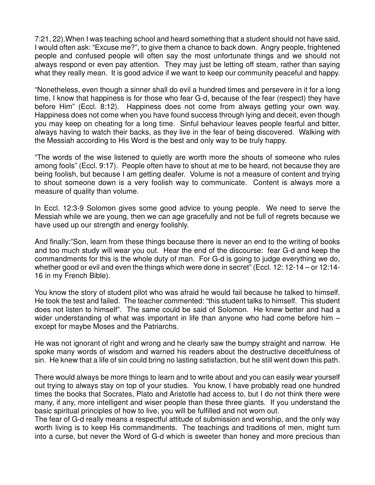7:21, 22).When I was teaching school and heard something that a student should not have said, I would often ask: "Excuse me?", to give them a chance to back down. Angry people, frightened people and confused people will often say the most unfortunate things and we should not always respond or even pay attention. They may just be letting off steam, rather than saying what they really mean. It is good advice if we want to keep our community peaceful and happy.

"Nonetheless, even though a sinner shall do evil a hundred times and persevere in it for a long time, I know that happiness is for those who fear G-d, because of the fear (respect) they have before Him" (Eccl. 8:12). Happiness does not come from always getting your own way. Happiness does not come when you have found success through lying and deceit, even though you may keep on cheating for a long time. Sinful behaviour leaves people fearful and bitter, always having to watch their backs, as they live in the fear of being discovered. Walking with the Messiah according to His Word is the best and only way to be truly happy.

"The words of the wise listened to quietly are worth more the shouts of someone who rules among fools" (Eccl. 9:17). People often have to shout at me to be heard, not because they are being foolish, but because I am getting deafer. Volume is not a measure of content and trying to shout someone down is a very foolish way to communicate. Content is always more a measure of quality than volume.

In Eccl. 12:3-9 Solomon gives some good advice to young people. We need to serve the Messiah while we are young, then we can age gracefully and not be full of regrets because we have used up our strength and energy foolishly.

And finally:"Son, learn from these things because there is never an end to the writing of books and too much study will wear you out. Hear the end of the discourse: fear G-d and keep the commandments for this is the whole duty of man. For G-d is going to judge everything we do, whether good or evil and even the things which were done in secret" (Eccl. 12: 12-14 – or 12:14- 16 in my French Bible).

You know the story of student pilot who was afraid he would fail because he talked to himself. He took the test and failed. The teacher commented: "this student talks to himself. This student does not listen to himself". The same could be said of Solomon. He knew better and had a wider understanding of what was important in life than anyone who had come before him – except for maybe Moses and the Patriarchs.

He was not ignorant of right and wrong and he clearly saw the bumpy straight and narrow. He spoke many words of wisdom and warned his readers about the destructive deceitfulness of sin. He knew that a life of sin could bring no lasting satisfaction, but he still went down this path.

There would always be more things to learn and to write about and you can easily wear yourself out trying to always stay on top of your studies. You know, I have probably read one hundred times the books that Socrates, Plato and Aristotle had access to, but I do not think there were many, if any, more intelligent and wiser people than these three giants. If you understand the basic spiritual principles of how to live, you will be fulfilled and not worn out.

The fear of G-d really means a respectful attitude of submission and worship, and the only way worth living is to keep His commandments. The teachings and traditions of men, might turn into a curse, but never the Word of G-d which is sweeter than honey and more precious than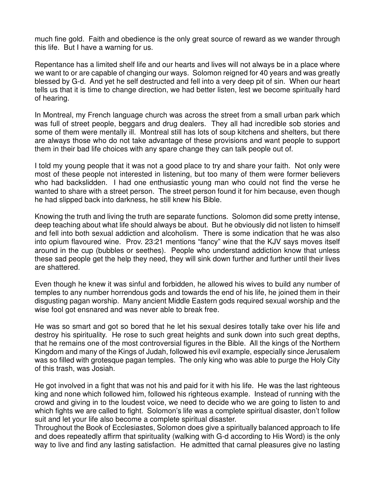much fine gold. Faith and obedience is the only great source of reward as we wander through this life. But I have a warning for us.

Repentance has a limited shelf life and our hearts and lives will not always be in a place where we want to or are capable of changing our ways. Solomon reigned for 40 years and was greatly blessed by G-d. And yet he self destructed and fell into a very deep pit of sin. When our heart tells us that it is time to change direction, we had better listen, lest we become spiritually hard of hearing.

In Montreal, my French language church was across the street from a small urban park which was full of street people, beggars and drug dealers. They all had incredible sob stories and some of them were mentally ill. Montreal still has lots of soup kitchens and shelters, but there are always those who do not take advantage of these provisions and want people to support them in their bad life choices with any spare change they can talk people out of.

I told my young people that it was not a good place to try and share your faith. Not only were most of these people not interested in listening, but too many of them were former believers who had backslidden. I had one enthusiastic young man who could not find the verse he wanted to share with a street person. The street person found it for him because, even though he had slipped back into darkness, he still knew his Bible.

Knowing the truth and living the truth are separate functions. Solomon did some pretty intense, deep teaching about what life should always be about. But he obviously did not listen to himself and fell into both sexual addiction and alcoholism. There is some indication that he was also into opium flavoured wine. Prov. 23:21 mentions "fancy" wine that the KJV says moves itself around in the cup (bubbles or seethes). People who understand addiction know that unless these sad people get the help they need, they will sink down further and further until their lives are shattered.

Even though he knew it was sinful and forbidden, he allowed his wives to build any number of temples to any number horrendous gods and towards the end of his life, he joined them in their disgusting pagan worship. Many ancient Middle Eastern gods required sexual worship and the wise fool got ensnared and was never able to break free.

He was so smart and got so bored that he let his sexual desires totally take over his life and destroy his spirituality. He rose to such great heights and sunk down into such great depths, that he remains one of the most controversial figures in the Bible. All the kings of the Northern Kingdom and many of the Kings of Judah, followed his evil example, especially since Jerusalem was so filled with grotesque pagan temples. The only king who was able to purge the Holy City of this trash, was Josiah.

He got involved in a fight that was not his and paid for it with his life. He was the last righteous king and none which followed him, followed his righteous example. Instead of running with the crowd and giving in to the loudest voice, we need to decide who we are going to listen to and which fights we are called to fight. Solomon's life was a complete spiritual disaster, don't follow suit and let your life also become a complete spiritual disaster.

Throughout the Book of Ecclesiastes, Solomon does give a spiritually balanced approach to life and does repeatedly affirm that spirituality (walking with G-d according to His Word) is the only way to live and find any lasting satisfaction. He admitted that carnal pleasures give no lasting